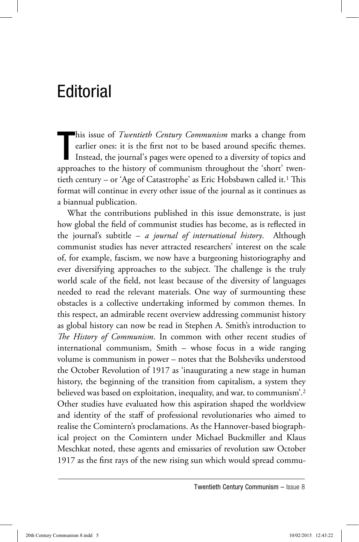## Editorial

T his issue of *Twentieth Century Communism* marks a change from earlier ones: it is the first not to be based around specific themes. Instead, the journal's pages were opened to a diversity of topics and approaches to the history of communism throughout the 'short' twentieth century – or 'Age of Catastrophe' as Eric Hobsbawn called it.<sup>1</sup> This format will continue in every other issue of the journal as it continues as a biannual publication.

What the contributions published in this issue demonstrate, is just how global the field of communist studies has become, as is reflected in the journal's subtitle – *a journal of international history*. Although communist studies has never attracted researchers' interest on the scale of, for example, fascism, we now have a burgeoning historiography and ever diversifying approaches to the subject. The challenge is the truly world scale of the field, not least because of the diversity of languages needed to read the relevant materials. One way of surmounting these obstacles is a collective undertaking informed by common themes. In this respect, an admirable recent overview addressing communist history as global history can now be read in Stephen A. Smith's introduction to *The History of Communism*. In common with other recent studies of international communism, Smith – whose focus in a wide ranging volume is communism in power – notes that the Bolsheviks understood the October Revolution of 1917 as 'inaugurating a new stage in human history, the beginning of the transition from capitalism, a system they believed was based on exploitation, inequality, and war, to communism'.2 Other studies have evaluated how this aspiration shaped the worldview and identity of the staff of professional revolutionaries who aimed to realise the Comintern's proclamations. As the Hannover-based biographical project on the Comintern under Michael Buckmiller and Klaus Meschkat noted, these agents and emissaries of revolution saw October 1917 as the first rays of the new rising sun which would spread commu-

Twentieth Century Communism – Issue 8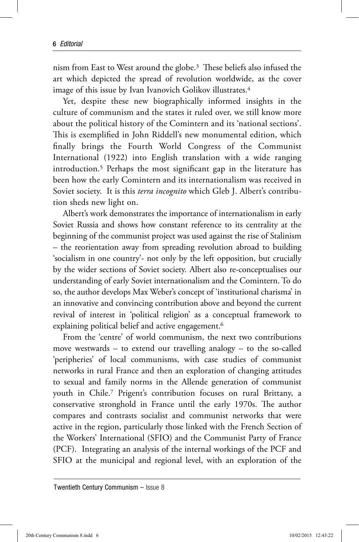nism from East to West around the globe.<sup>3</sup> These beliefs also infused the art which depicted the spread of revolution worldwide, as the cover image of this issue by Ivan Ivanovich Golikov illustrates.<sup>4</sup>

Yet, despite these new biographically informed insights in the culture of communism and the states it ruled over, we still know more about the political history of the Comintern and its 'national sections'. This is exemplified in John Riddell's new monumental edition, which finally brings the Fourth World Congress of the Communist International (1922) into English translation with a wide ranging introduction.<sup>5</sup> Perhaps the most significant gap in the literature has been how the early Comintern and its internationalism was received in Soviet society. It is this *terra incognito* which Gleb J. Albert's contribution sheds new light on.

Albert's work demonstrates the importance of internationalism in early Soviet Russia and shows how constant reference to its centrality at the beginning of the communist project was used against the rise of Stalinism – the reorientation away from spreading revolution abroad to building 'socialism in one country'- not only by the left opposition, but crucially by the wider sections of Soviet society. Albert also re-conceptualises our understanding of early Soviet internationalism and the Comintern. To do so, the author develops Max Weber's concept of 'institutional charisma' in an innovative and convincing contribution above and beyond the current revival of interest in 'political religion' as a conceptual framework to explaining political belief and active engagement.<sup>6</sup>

From the 'centre' of world communism, the next two contributions move westwards – to extend our travelling analogy – to the so-called 'peripheries' of local communisms, with case studies of communist networks in rural France and then an exploration of changing attitudes to sexual and family norms in the Allende generation of communist youth in Chile.7 Prigent's contribution focuses on rural Brittany, a conservative stronghold in France until the early 1970s. The author compares and contrasts socialist and communist networks that were active in the region, particularly those linked with the French Section of the Workers' International (SFIO) and the Communist Party of France (PCF). Integrating an analysis of the internal workings of the PCF and SFIO at the municipal and regional level, with an exploration of the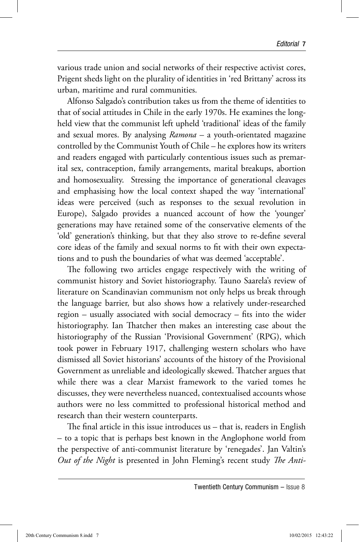various trade union and social networks of their respective activist cores, Prigent sheds light on the plurality of identities in 'red Brittany' across its urban, maritime and rural communities.

Alfonso Salgado's contribution takes us from the theme of identities to that of social attitudes in Chile in the early 1970s. He examines the longheld view that the communist left upheld 'traditional' ideas of the family and sexual mores. By analysing *Ramona* – a youth-orientated magazine controlled by the Communist Youth of Chile – he explores how its writers and readers engaged with particularly contentious issues such as premarital sex, contraception, family arrangements, marital breakups, abortion and homosexuality. Stressing the importance of generational cleavages and emphasising how the local context shaped the way 'international' ideas were perceived (such as responses to the sexual revolution in Europe), Salgado provides a nuanced account of how the 'younger' generations may have retained some of the conservative elements of the 'old' generation's thinking, but that they also strove to re-define several core ideas of the family and sexual norms to fit with their own expectations and to push the boundaries of what was deemed 'acceptable'.

The following two articles engage respectively with the writing of communist history and Soviet historiography. Tauno Saarela's review of literature on Scandinavian communism not only helps us break through the language barrier, but also shows how a relatively under-researched region – usually associated with social democracy – fits into the wider historiography. Ian Thatcher then makes an interesting case about the historiography of the Russian 'Provisional Government' (RPG), which took power in February 1917, challenging western scholars who have dismissed all Soviet historians' accounts of the history of the Provisional Government as unreliable and ideologically skewed. Thatcher argues that while there was a clear Marxist framework to the varied tomes he discusses, they were nevertheless nuanced, contextualised accounts whose authors were no less committed to professional historical method and research than their western counterparts.

The final article in this issue introduces us  $-$  that is, readers in English – to a topic that is perhaps best known in the Anglophone world from the perspective of anti-communist literature by 'renegades'. Jan Valtin's *Out of the Night* is presented in John Fleming's recent study *The Anti-*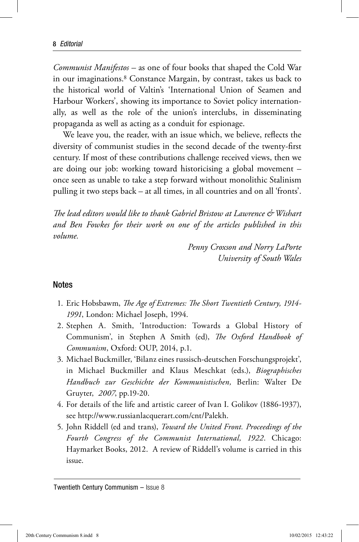*Communist Manifestos –* as one of four books that shaped the Cold War in our imaginations.8 Constance Margain, by contrast, takes us back to the historical world of Valtin's 'International Union of Seamen and Harbour Workers', showing its importance to Soviet policy internationally, as well as the role of the union's interclubs, in disseminating propaganda as well as acting as a conduit for espionage.

We leave you, the reader, with an issue which, we believe, reflects the diversity of communist studies in the second decade of the twenty-first century. If most of these contributions challenge received views, then we are doing our job: working toward historicising a global movement – once seen as unable to take a step forward without monolithic Stalinism pulling it two steps back – at all times, in all countries and on all 'fronts'.

*The lead editors would like to thank Gabriel Bristow at Lawrence & Wishart and Ben Fowkes for their work on one of the articles published in this volume.*

> *Penny Croxson and Norry LaPorte University of South Wales*

## Notes

- 1. Eric Hobsbawm, *The Age of Extremes: The Short Twentieth Century*, 1914-*1991*, London: Michael Joseph, 1994.
- 2. Stephen A. Smith, 'Introduction: Towards a Global History of Communism', in Stephen A Smith (ed), *The Oxford Handbook of Communism*, Oxford: OUP, 2014, p.1.
- 3. Michael Buckmiller, 'Bilanz eines russisch-deutschen Forschungsprojekt', in Michael Buckmiller and Klaus Meschkat (eds.), *Biographisches Handbuch zur Geschichte der Kommunistischen,* Berlin: Walter De Gruyter, *2007*, pp.19-20.
- 4. For details of the life and artistic career of Ivan I. Golikov (1886-1937), see http://www.russianlacquerart.com/cnt/Palekh.
- 5. John Riddell (ed and trans), *Toward the United Front. Proceedings of the Fourth Congress of the Communist International, 1922*. Chicago: Haymarket Books, 2012. A review of Riddell's volume is carried in this issue.

Twentieth Century Communism – Issue 8